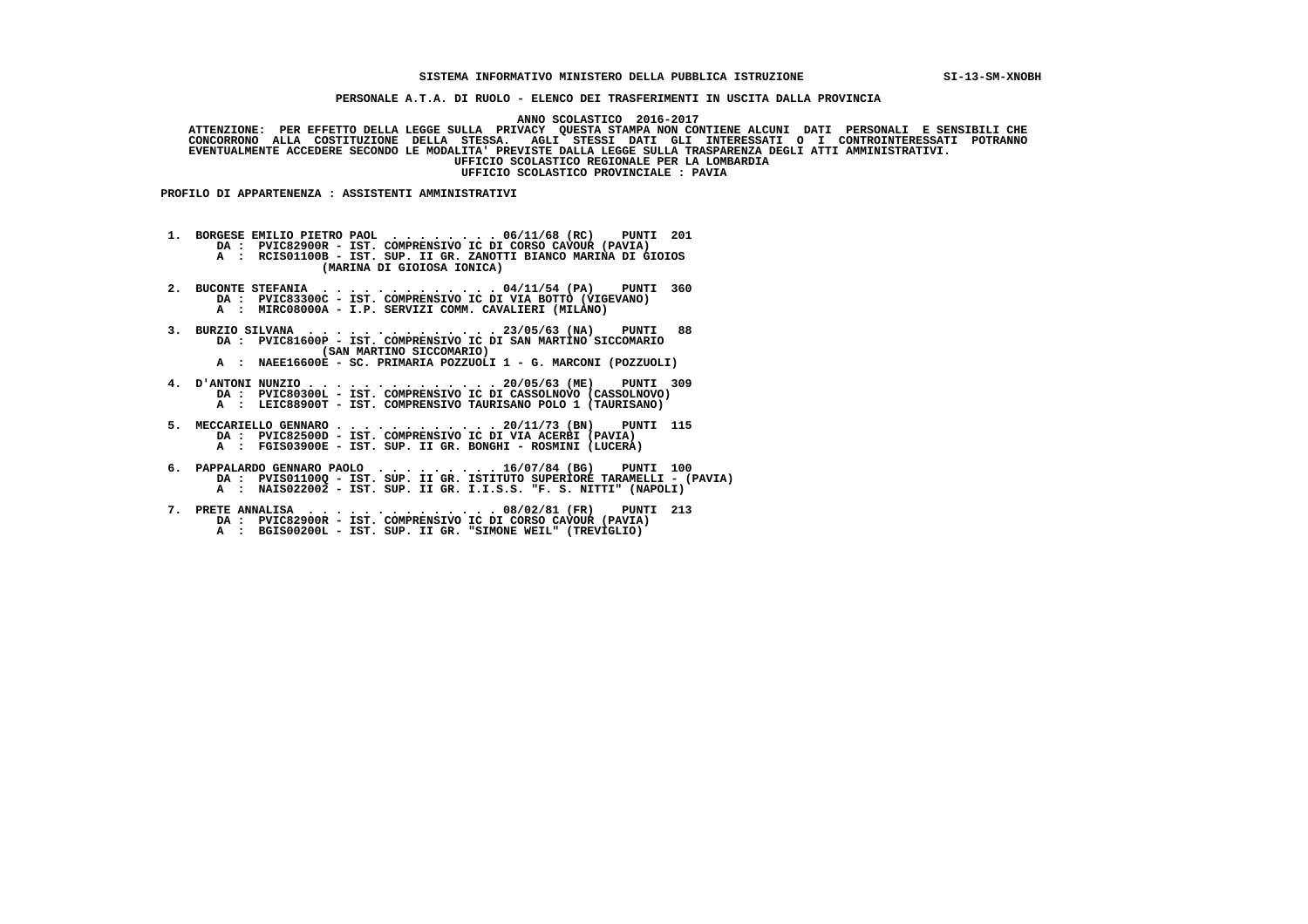## **SISTEMA INFORMATIVO MINISTERO DELLA PUBBLICA ISTRUZIONE SI-13-SM-XNOBH**

 **PERSONALE A.T.A. DI RUOLO - ELENCO DEI TRASFERIMENTI IN USCITA DALLA PROVINCIA**

 **ANNO SCOLASTICO 2016-2017**

  **ATTENZIONE: PER EFFETTO DELLA LEGGE SULLA PRIVACY QUESTA STAMPA NON CONTIENE ALCUNI DATI PERSONALI E SENSIBILI CHE CONCORRONO ALLA COSTITUZIONE DELLA STESSA. AGLI STESSI DATI GLI INTERESSATI O I CONTROINTERESSATI POTRANNO EVENTUALMENTE ACCEDERE SECONDO LE MODALITA' PREVISTE DALLA LEGGE SULLA TRASPARENZA DEGLI ATTI AMMINISTRATIVI. UFFICIO SCOLASTICO REGIONALE PER LA LOMBARDIA UFFICIO SCOLASTICO PROVINCIALE : PAVIA**

 **PROFILO DI APPARTENENZA : ASSISTENTI AMMINISTRATIVI**

 **1. BORGESE EMILIO PIETRO PAOL . . . . . . . . 06/11/68 (RC) PUNTI 201 DA : PVIC82900R - IST. COMPRENSIVO IC DI CORSO CAVOUR (PAVIA)**

  **A : RCIS01100B - IST. SUP. II GR. ZANOTTI BIANCO MARINA DI GIOIOS (MARINA DI GIOIOSA IONICA)**

 **2. BUCONTE STEFANIA . . . . . . . . . . . . . 04/11/54 (PA) PUNTI 360 DA : PVIC83300C - IST. COMPRENSIVO IC DI VIA BOTTO (VIGEVANO) A : MIRC08000A - I.P. SERVIZI COMM. CAVALIERI (MILANO)**

 **3. BURZIO SILVANA . . . . . . . . . . . . . . 23/05/63 (NA) PUNTI 88 DA : PVIC81600P - IST. COMPRENSIVO IC DI SAN MARTINO SICCOMARIO (SAN MARTINO SICCOMARIO)**

 **A : NAEE16600E - SC. PRIMARIA POZZUOLI 1 - G. MARCONI (POZZUOLI)**

 **4. D'ANTONI NUNZIO . . . . . . . . . . . . . . 20/05/63 (ME) PUNTI 309 DA : PVIC80300L - IST. COMPRENSIVO IC DI CASSOLNOVO (CASSOLNOVO) A : LEIC88900T - IST. COMPRENSIVO TAURISANO POLO 1 (TAURISANO)**

 **5. MECCARIELLO GENNARO . . . . . . . . . . . . 20/11/73 (BN) PUNTI 115 DA : PVIC82500D - IST. COMPRENSIVO IC DI VIA ACERBI (PAVIA) A : FGIS03900E - IST. SUP. II GR. BONGHI - ROSMINI (LUCERA)**

- **6. PAPPALARDO GENNARO PAOLO . . . . . . . . . 16/07/84 (BG) PUNTI 100 DA : PVIS01100Q IST. SUP. II GR. ISTITUTO SUPERIORE TARAMELLI (PAVIA) A : NAIS022002 - IST. SUP. II GR. I.I.S.S. "F. S. NITTI" (NAPOLI)**
- **7. PRETE ANNALISA . . . . . . . . . . . . . . 08/02/81 (FR) PUNTI 213 DA : PVIC82900R - IST. COMPRENSIVO IC DI CORSO CAVOUR (PAVIA) A : BGIS00200L - IST. SUP. II GR. "SIMONE WEIL" (TREVIGLIO)**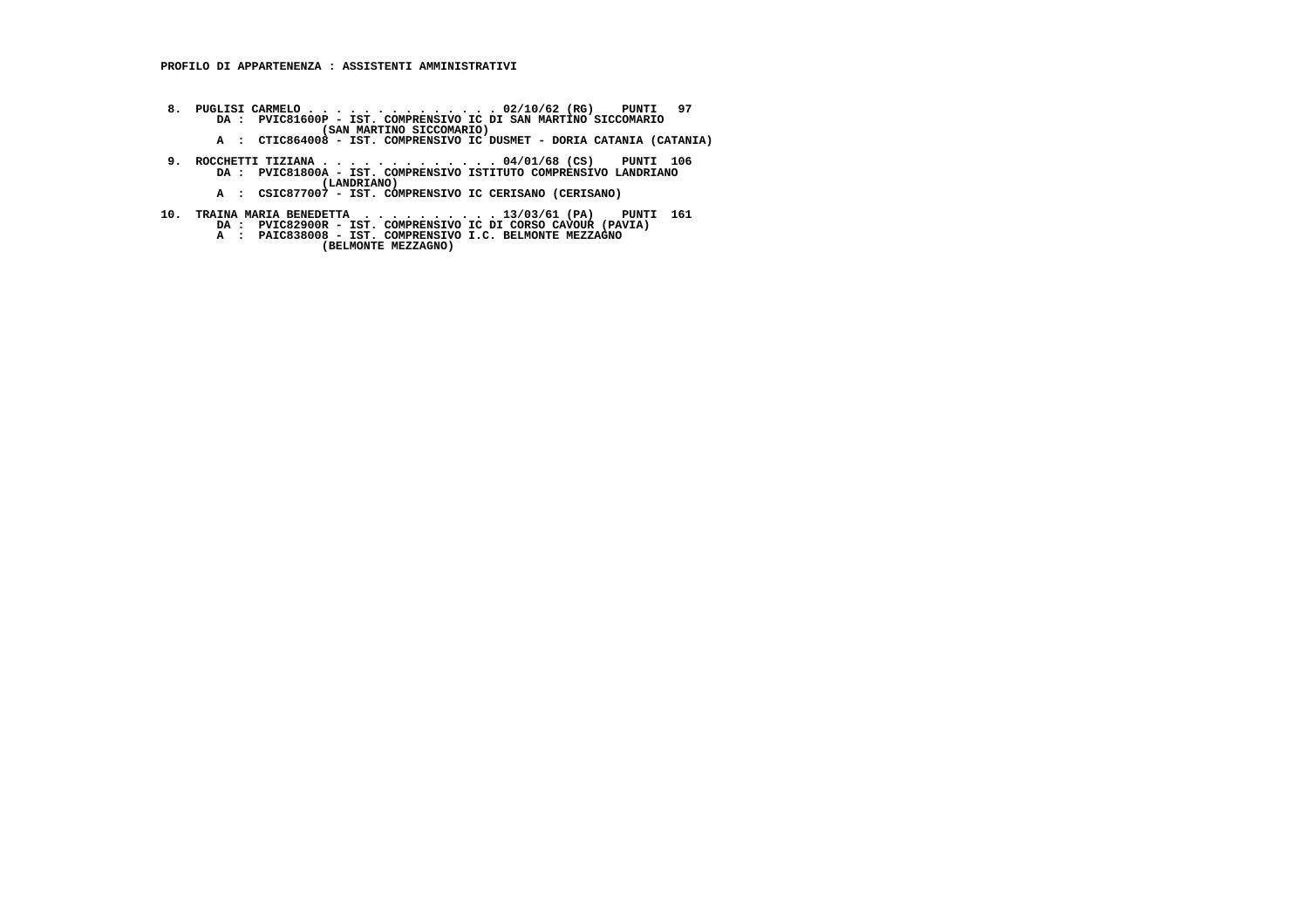- **8. PUGLISI CARMELO . . . . . . . . . . . . . . 02/10/62 (RG) PUNTI 97 DA : PVIC81600P IST. COMPRENSIVO IC DI SAN MARTINO SICCOMARIO (SAN MARTINO SICCOMARIO)**
- **A : CTIC864008 IST. COMPRENSIVO IC DUSMET DORIA CATANIA (CATANIA)**
- **9. ROCCHETTI TIZIANA . . . . . . . . . . . . . 04/01/68 (CS) PUNTI 106 DA : PVIC81800A IST. COMPRENSIVO ISTITUTO COMPRENSIVO LANDRIANO (LANDRIANO) A : CSIC877007 - IST. COMPRENSIVO IC CERISANO (CERISANO)**
	-
- **10. TRAINA MARIA BENEDETTA . . . . . . . . . . 13/03/61 (PA) PUNTI 161 DA : PVIC82900R IST. COMPRENSIVO IC DI CORSO CAVOUR (PAVIA) A : PAIC838008 IST. COMPRENSIVO I.C. BELMONTE MEZZAGNO**
	- - **(BELMONTE MEZZAGNO)**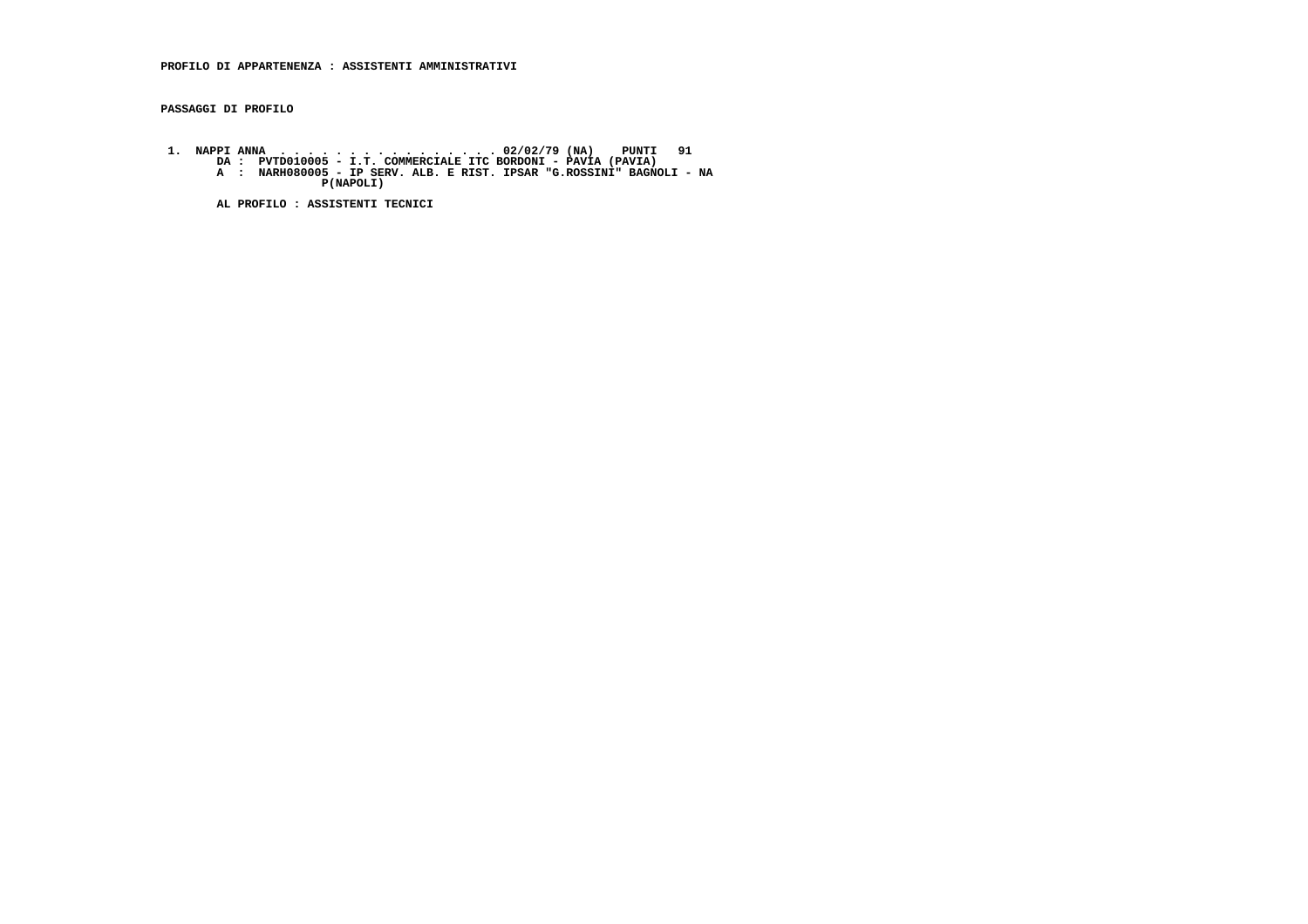**PASSAGGI DI PROFILO**

 **1. NAPPI ANNA . . . . . . . . . . . . . . . . 02/02/79 (NA) PUNTI 91 DA : PVTD010005 - I.T. COMMERCIALE ITC BORDONI - PAVIA (PAVIA) A : NARH080005 - IP SERV. ALB. E RIST. IPSAR "G.ROSSINI" BAGNOLI - NA P(NAPOLI)**

 **AL PROFILO : ASSISTENTI TECNICI**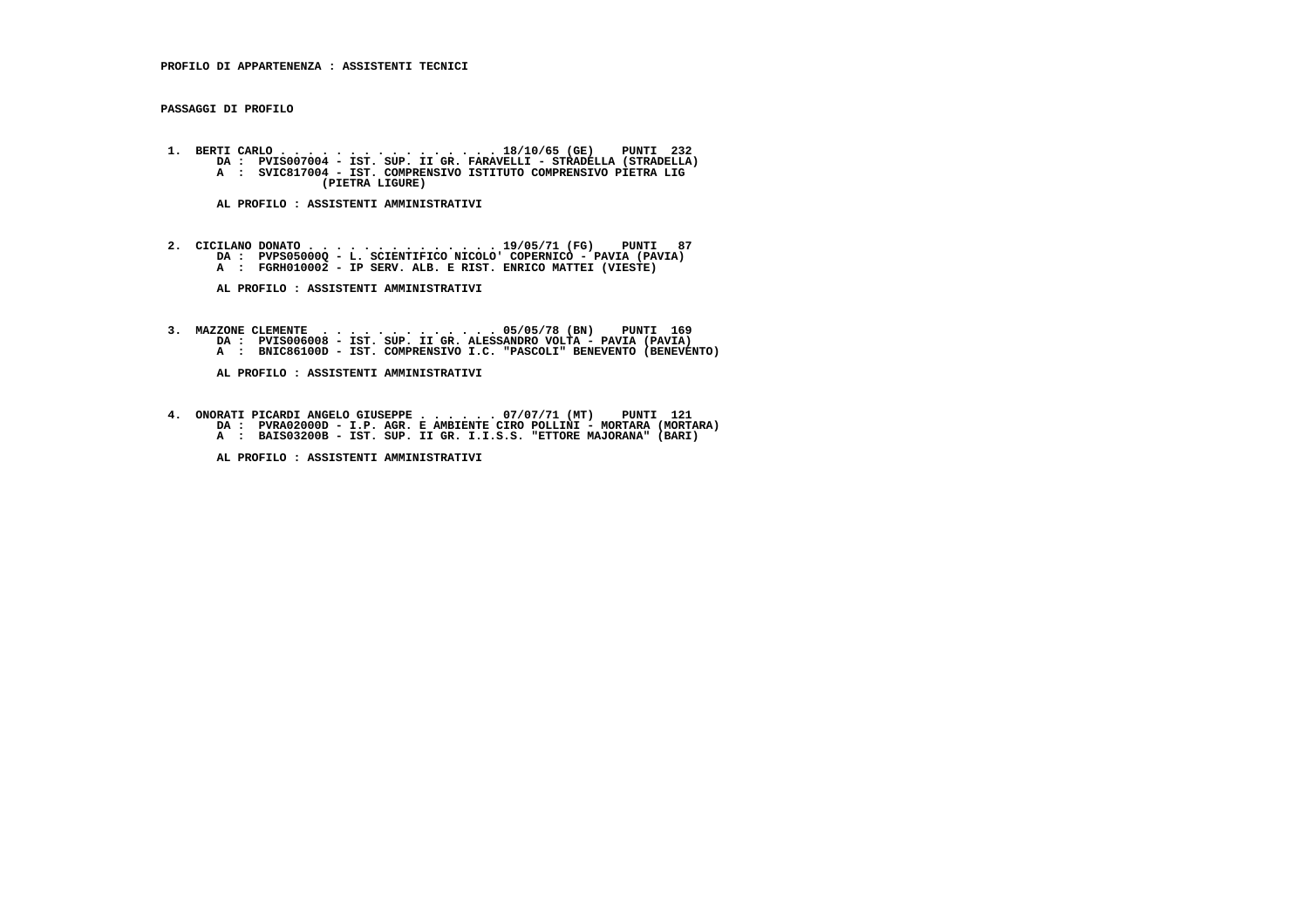**PASSAGGI DI PROFILO**

 **1. BERTI CARLO . . . . . . . . . . . . . . . . 18/10/65 (GE) PUNTI 232 DA : PVIS007004 - IST. SUP. II GR. FARAVELLI - STRADELLA (STRADELLA)A : SVIC817004 - IST. SOF. II GR. FARAVEELLE - SIRADEELLA** (SIRADEELLA A : SVIC817004 - IST. COMPRENSIVO ISTITUTO COMPRENSIVO PIETRA LIG  **(PIETRA LIGURE)**

 **AL PROFILO : ASSISTENTI AMMINISTRATIVI**

 **2. CICILANO DONATO . . . . . . . . . . . . . . 19/05/71 (FG) PUNTI 87 DA : PVPS05000Q - L. SCIENTIFICO NICOLO' COPERNICO - PAVIA (PAVIA) A : FGRH010002 - IP SERV. ALB. E RIST. ENRICO MATTEI (VIESTE)**

 **AL PROFILO : ASSISTENTI AMMINISTRATIVI**

 **3. MAZZONE CLEMENTE . . . . . . . . . . . . . 05/05/78 (BN) PUNTI 169 DA : PVIS006008 - IST. SUP. II GR. ALESSANDRO VOLTA - PAVIA (PAVIA) A : BNIC86100D - IST. COMPRENSIVO I.C. "PASCOLI" BENEVENTO (BENEVENTO)**

 **AL PROFILO : ASSISTENTI AMMINISTRATIVI**

 **4. ONORATI PICARDI ANGELO GIUSEPPE . . . . . . 07/07/71 (MT) PUNTI 121 DA : PVRA02000D - I.P. AGR. E AMBIENTE CIRO POLLINI - MORTARA (MORTARA) A : BAIS03200B - IST. SUP. II GR. I.I.S.S. "ETTORE MAJORANA" (BARI)**

 **AL PROFILO : ASSISTENTI AMMINISTRATIVI**